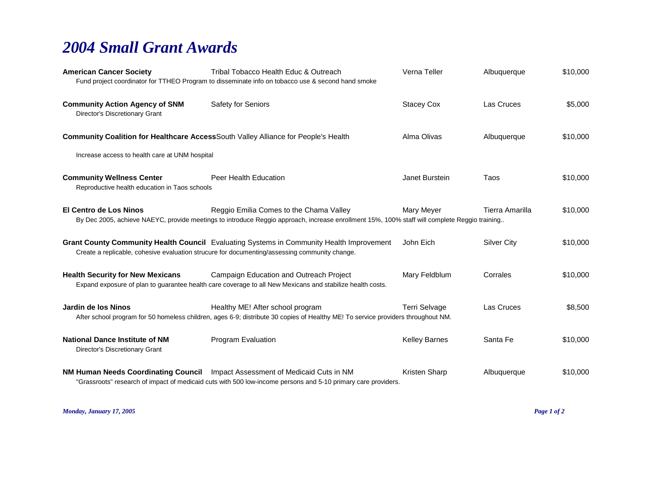## *2004 Small Grant Awards*

| <b>American Cancer Society</b>                                                     | Tribal Tobacco Health Educ & Outreach<br>Fund project coordinator for TTHEO Program to disseminate info on tobacco use & second hand smoke                                                    | Verna Teller         | Albuquerque        | \$10,000 |
|------------------------------------------------------------------------------------|-----------------------------------------------------------------------------------------------------------------------------------------------------------------------------------------------|----------------------|--------------------|----------|
| <b>Community Action Agency of SNM</b><br>Director's Discretionary Grant            | Safety for Seniors                                                                                                                                                                            | <b>Stacey Cox</b>    | Las Cruces         | \$5,000  |
| Community Coalition for Healthcare AccessSouth Valley Alliance for People's Health |                                                                                                                                                                                               | Alma Olivas          | Albuquerque        | \$10,000 |
| Increase access to health care at UNM hospital                                     |                                                                                                                                                                                               |                      |                    |          |
| <b>Community Wellness Center</b><br>Reproductive health education in Taos schools  | Peer Health Education                                                                                                                                                                         | Janet Burstein       | Taos               | \$10,000 |
| <b>El Centro de Los Ninos</b>                                                      | Reggio Emilia Comes to the Chama Valley<br>By Dec 2005, achieve NAEYC, provide meetings to introduce Reggio approach, increase enrollment 15%, 100% staff will complete Reggio training       | Mary Meyer           | Tierra Amarilla    | \$10,000 |
|                                                                                    | Grant County Community Health Council Evaluating Systems in Community Health Improvement<br>Create a replicable, cohesive evaluation strucure for documenting/assessing community change.     | John Eich            | <b>Silver City</b> | \$10,000 |
| <b>Health Security for New Mexicans</b>                                            | Campaign Education and Outreach Project<br>Expand exposure of plan to guarantee health care coverage to all New Mexicans and stabilize health costs.                                          | Mary Feldblum        | Corrales           | \$10,000 |
| Jardin de los Ninos                                                                | Healthy ME! After school program<br>After school program for 50 homeless children, ages 6-9; distribute 30 copies of Healthy ME! To service providers throughout NM.                          | Terri Selvage        | Las Cruces         | \$8,500  |
| <b>National Dance Institute of NM</b><br>Director's Discretionary Grant            | Program Evaluation                                                                                                                                                                            | <b>Kelley Barnes</b> | Santa Fe           | \$10,000 |
|                                                                                    | NM Human Needs Coordinating Council Impact Assessment of Medicaid Cuts in NM<br>"Grassroots" research of impact of medicaid cuts with 500 low-income persons and 5-10 primary care providers. | Kristen Sharp        | Albuquerque        | \$10,000 |

*Monday, January 17, 2005 Page 1 of 2*